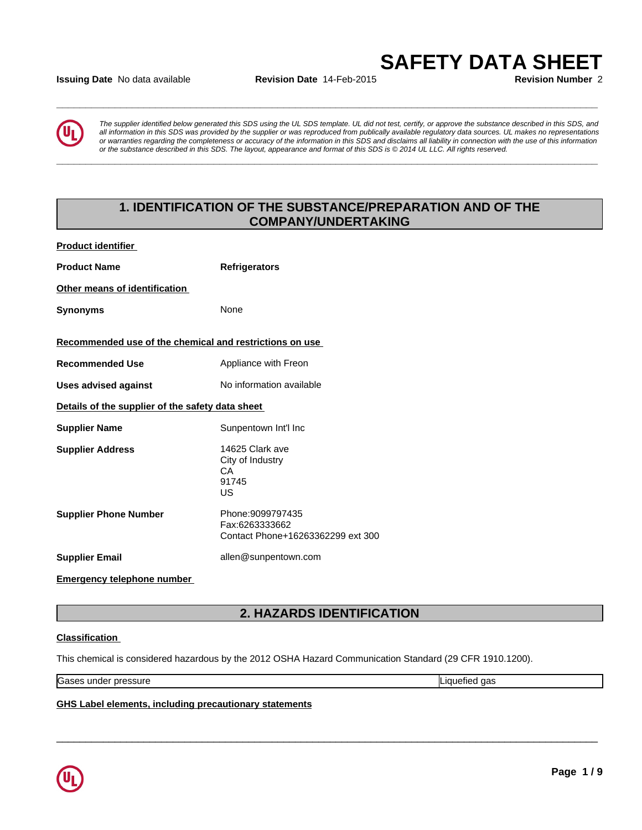### **Issuing Date** No data available **Revision Date** 14-Feb-2015 **Revision Number** 2

**\_\_\_\_\_\_\_\_\_\_\_\_\_\_\_\_\_\_\_\_\_\_\_\_\_\_\_\_\_\_\_\_\_\_\_\_\_\_\_\_\_\_\_\_\_\_\_\_\_\_\_\_\_\_\_\_\_\_\_\_\_\_\_\_\_\_\_\_\_\_\_\_\_\_\_\_\_\_\_\_\_\_\_\_\_\_\_\_\_\_\_\_\_**

**\_\_\_\_\_\_\_\_\_\_\_\_\_\_\_\_\_\_\_\_\_\_\_\_\_\_\_\_\_\_\_\_\_\_\_\_\_\_\_\_\_\_\_\_\_\_\_\_\_\_\_\_\_\_\_\_\_\_\_\_\_\_\_\_\_\_\_\_\_\_\_\_\_\_\_\_\_\_\_\_\_\_\_\_\_\_\_\_\_\_\_\_\_**



*The supplier identified below generated this SDS using the UL SDS template. UL did not test, certify, or approve the substance described in this SDS, and all information in this SDS was provided by the supplier or was reproduced from publically available regulatory data sources. UL makes no representations or warranties regarding the completeness or accuracy of the information in this SDS and disclaims all liability in connection with the use of this information* ate No data available<br>The supplier identified below generated this SDS using the UL SDS template. UL did not test, certify, or approve the substance described in this SDS, and<br>all information in this SDS was provided by th

# **1. IDENTIFICATION OF THE SUBSTANCE/PREPARATION AND OF THE COMPANY/UNDERTAKING**

| <b>Product identifier</b>                               |                                                                          |  |
|---------------------------------------------------------|--------------------------------------------------------------------------|--|
| <b>Product Name</b>                                     | <b>Refrigerators</b>                                                     |  |
| Other means of identification                           |                                                                          |  |
| <b>Synonyms</b>                                         | None                                                                     |  |
| Recommended use of the chemical and restrictions on use |                                                                          |  |
| <b>Recommended Use</b>                                  | Appliance with Freon                                                     |  |
| <b>Uses advised against</b>                             | No information available                                                 |  |
| Details of the supplier of the safety data sheet        |                                                                          |  |
| <b>Supplier Name</b>                                    | Sunpentown Int'l Inc                                                     |  |
| <b>Supplier Address</b>                                 | 14625 Clark ave<br>City of Industry<br>CA.<br>91745<br>US                |  |
| <b>Supplier Phone Number</b>                            | Phone: 9099797435<br>Fax:6263333662<br>Contact Phone+16263362299 ext 300 |  |
| <b>Supplier Email</b>                                   | allen@sunpentown.com                                                     |  |
|                                                         |                                                                          |  |

# **Emergency telephone number**

# **2. HAZARDS IDENTIFICATION**

 $\overline{\phantom{a}}$  ,  $\overline{\phantom{a}}$  ,  $\overline{\phantom{a}}$  ,  $\overline{\phantom{a}}$  ,  $\overline{\phantom{a}}$  ,  $\overline{\phantom{a}}$  ,  $\overline{\phantom{a}}$  ,  $\overline{\phantom{a}}$  ,  $\overline{\phantom{a}}$  ,  $\overline{\phantom{a}}$  ,  $\overline{\phantom{a}}$  ,  $\overline{\phantom{a}}$  ,  $\overline{\phantom{a}}$  ,  $\overline{\phantom{a}}$  ,  $\overline{\phantom{a}}$  ,  $\overline{\phantom{a}}$ 

### **Classification**

This chemical is considered hazardous by the 2012 OSHA Hazard Communication Standard (29 CFR 1910.1200).

Gases under pressure

Liquefied gas

### **GHS Label elements, including precautionary statements**

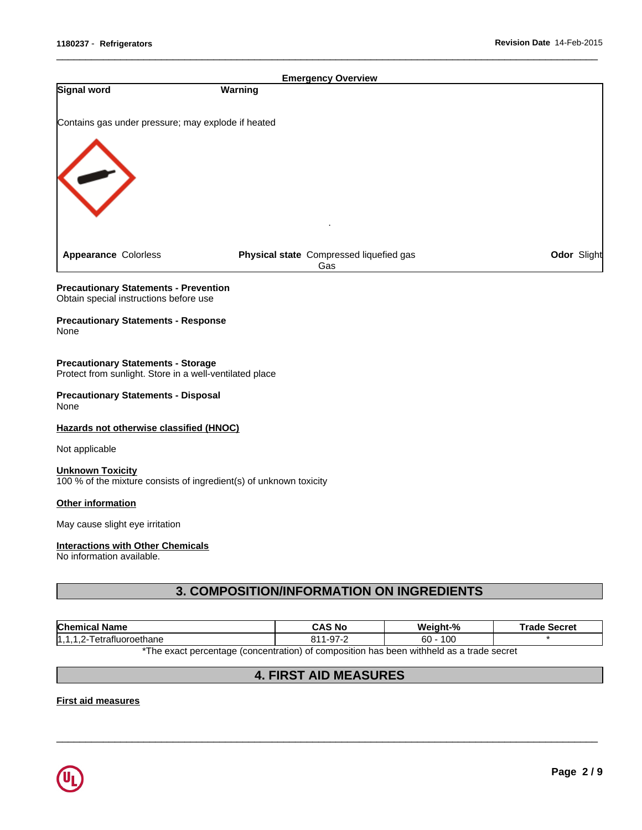| Signal word                                                                                          | <b>Emergency Overview</b><br>Warning                                                     |            |                     |
|------------------------------------------------------------------------------------------------------|------------------------------------------------------------------------------------------|------------|---------------------|
|                                                                                                      |                                                                                          |            |                     |
| Contains gas under pressure; may explode if heated                                                   |                                                                                          |            |                     |
|                                                                                                      |                                                                                          |            |                     |
|                                                                                                      |                                                                                          |            |                     |
|                                                                                                      |                                                                                          |            |                     |
|                                                                                                      |                                                                                          |            |                     |
|                                                                                                      |                                                                                          |            |                     |
|                                                                                                      |                                                                                          |            |                     |
| <b>Appearance Colorless</b>                                                                          | Physical state Compressed liquefied gas                                                  |            | Odor Slight         |
|                                                                                                      | Gas                                                                                      |            |                     |
| <b>Precautionary Statements - Prevention</b><br>Obtain special instructions before use               |                                                                                          |            |                     |
|                                                                                                      |                                                                                          |            |                     |
| <b>Precautionary Statements - Response</b><br>None                                                   |                                                                                          |            |                     |
|                                                                                                      |                                                                                          |            |                     |
| <b>Precautionary Statements - Storage</b><br>Protect from sunlight. Store in a well-ventilated place |                                                                                          |            |                     |
| <b>Precautionary Statements - Disposal</b><br>None                                                   |                                                                                          |            |                     |
| Hazards not otherwise classified (HNOC)                                                              |                                                                                          |            |                     |
| Not applicable                                                                                       |                                                                                          |            |                     |
| <b>Unknown Toxicity</b>                                                                              |                                                                                          |            |                     |
| 100 % of the mixture consists of ingredient(s) of unknown toxicity                                   |                                                                                          |            |                     |
| Other information                                                                                    |                                                                                          |            |                     |
| May cause slight eye irritation                                                                      |                                                                                          |            |                     |
| <b>Interactions with Other Chemicals</b>                                                             |                                                                                          |            |                     |
| No information available.                                                                            |                                                                                          |            |                     |
|                                                                                                      |                                                                                          |            |                     |
|                                                                                                      | 3. COMPOSITION/INFORMATION ON INGREDIENTS                                                |            |                     |
|                                                                                                      |                                                                                          |            |                     |
| <b>Chemical Name</b>                                                                                 | <b>CAS No</b>                                                                            | Weight-%   | <b>Trade Secret</b> |
| 1,1,1,2-Tetrafluoroethane                                                                            | 811-97-2                                                                                 | $60 - 100$ |                     |
|                                                                                                      | *The exact percentage (concentration) of composition has been withheld as a trade secret |            |                     |
|                                                                                                      | <b>4. FIRST AID MEASURES</b>                                                             |            |                     |
|                                                                                                      |                                                                                          |            |                     |

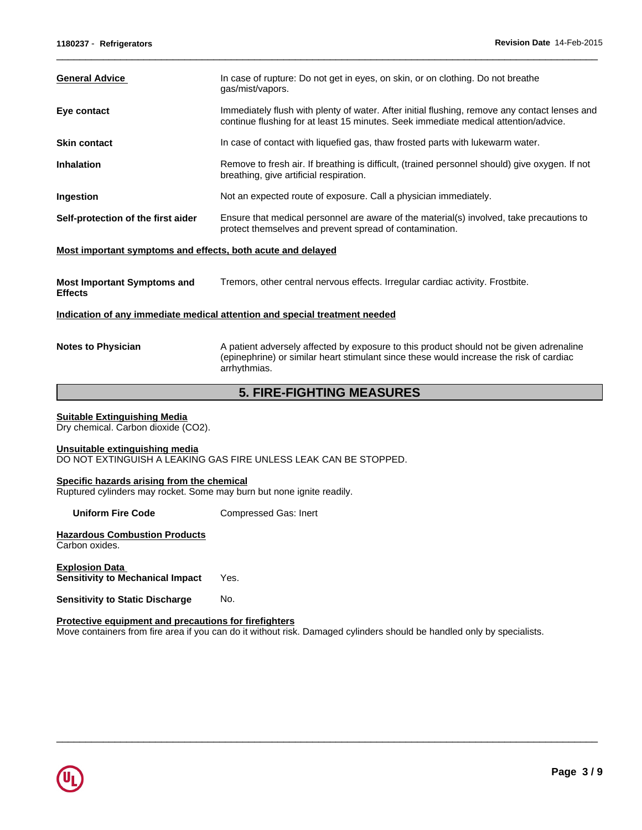| <b>General Advice</b>                                                      | In case of rupture: Do not get in eyes, on skin, or on clothing. Do not breathe                                                                                                                    |  |
|----------------------------------------------------------------------------|----------------------------------------------------------------------------------------------------------------------------------------------------------------------------------------------------|--|
|                                                                            | gas/mist/vapors.                                                                                                                                                                                   |  |
| Eye contact                                                                | Immediately flush with plenty of water. After initial flushing, remove any contact lenses and<br>continue flushing for at least 15 minutes. Seek immediate medical attention/advice.               |  |
| <b>Skin contact</b>                                                        | In case of contact with liquefied gas, thaw frosted parts with lukewarm water.                                                                                                                     |  |
| <b>Inhalation</b>                                                          | Remove to fresh air. If breathing is difficult, (trained personnel should) give oxygen. If not<br>breathing, give artificial respiration.                                                          |  |
| Ingestion                                                                  | Not an expected route of exposure. Call a physician immediately.                                                                                                                                   |  |
| Self-protection of the first aider                                         | Ensure that medical personnel are aware of the material(s) involved, take precautions to<br>protect themselves and prevent spread of contamination.                                                |  |
| Most important symptoms and effects, both acute and delayed                |                                                                                                                                                                                                    |  |
| <b>Most Important Symptoms and</b><br><b>Effects</b>                       | Tremors, other central nervous effects. Irregular cardiac activity. Frostbite.                                                                                                                     |  |
| Indication of any immediate medical attention and special treatment needed |                                                                                                                                                                                                    |  |
|                                                                            |                                                                                                                                                                                                    |  |
| <b>Notes to Physician</b>                                                  | A patient adversely affected by exposure to this product should not be given adrenaline<br>(epinephrine) or similar heart stimulant since these would increase the risk of cardiac<br>arrhythmias. |  |
|                                                                            |                                                                                                                                                                                                    |  |

# **5. FIRE-FIGHTING MEASURES**

#### **Suitable Extinguishing Media**

Dry chemical. Carbon dioxide (CO2).

### **Unsuitable extinguishing media**

DO NOT EXTINGUISH A LEAKING GAS FIRE UNLESS LEAK CAN BE STOPPED.

# **Specific hazards arising from the chemical**

Ruptured cylinders may rocket. Some may burn but none ignite readily.

**Uniform Fire Code** Compressed Gas: Inert

#### **Hazardous Combustion Products** Carbon oxides.

**Explosion Data Sensitivity to Mechanical Impact** Yes.

**Sensitivity to Static Discharge Mo.** 

### **Protective equipment and precautions for firefighters**

Move containers from fire area if you can do it without risk. Damaged cylinders should be handled only by specialists.

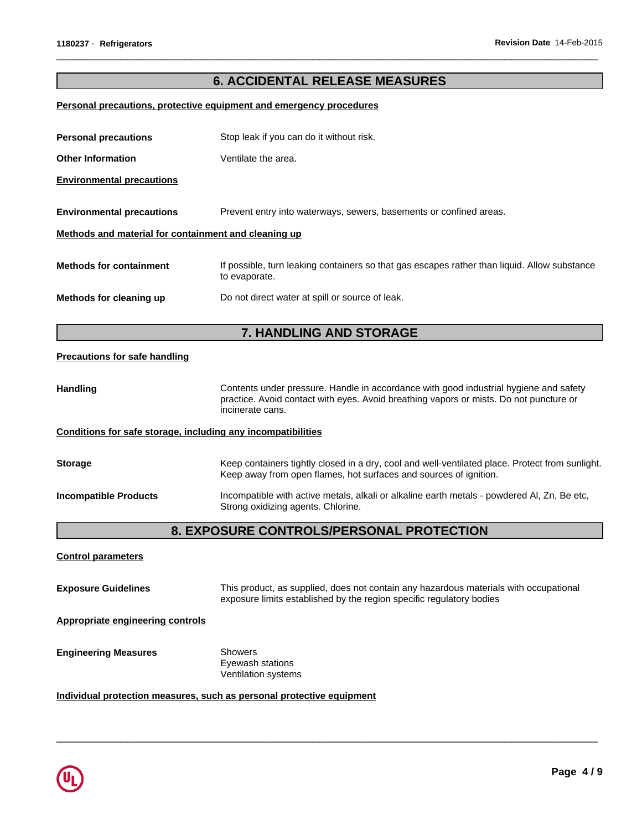# **6. ACCIDENTAL RELEASE MEASURES**

 $\overline{\phantom{a}}$  ,  $\overline{\phantom{a}}$  ,  $\overline{\phantom{a}}$  ,  $\overline{\phantom{a}}$  ,  $\overline{\phantom{a}}$  ,  $\overline{\phantom{a}}$  ,  $\overline{\phantom{a}}$  ,  $\overline{\phantom{a}}$  ,  $\overline{\phantom{a}}$  ,  $\overline{\phantom{a}}$  ,  $\overline{\phantom{a}}$  ,  $\overline{\phantom{a}}$  ,  $\overline{\phantom{a}}$  ,  $\overline{\phantom{a}}$  ,  $\overline{\phantom{a}}$  ,  $\overline{\phantom{a}}$ 

#### **Personal precautions, protective equipment and emergency procedures**

|                                                      | 7. HANDLING AND STORAGE                                                                                       |
|------------------------------------------------------|---------------------------------------------------------------------------------------------------------------|
| Methods for cleaning up                              | Do not direct water at spill or source of leak.                                                               |
| <b>Methods for containment</b>                       | If possible, turn leaking containers so that gas escapes rather than liquid. Allow substance<br>to evaporate. |
| Methods and material for containment and cleaning up |                                                                                                               |
| <b>Environmental precautions</b>                     | Prevent entry into waterways, sewers, basements or confined areas.                                            |
| <b>Environmental precautions</b>                     |                                                                                                               |
| <b>Other Information</b>                             | Ventilate the area.                                                                                           |
| <b>Personal precautions</b>                          | Stop leak if you can do it without risk.                                                                      |

#### **Precautions for safe handling**

Handling **Handling** Contents under pressure. Handle in accordance with good industrial hygiene and safety practice. Avoid contact with eyes. Avoid breathing vapors or mists. Do not puncture or incinerate cans.

### **Conditions for safe storage, including any incompatibilities**

| <b>Storage</b>               | Keep containers tightly closed in a dry, cool and well-ventilated place. Protect from sunlight.<br>Keep away from open flames, hot surfaces and sources of ignition. |
|------------------------------|----------------------------------------------------------------------------------------------------------------------------------------------------------------------|
| <b>Incompatible Products</b> | Incompatible with active metals, alkali or alkaline earth metals - powdered AI, Zn, Be etc,<br>Strong oxidizing agents. Chlorine.                                    |

# **8. EXPOSURE CONTROLS/PERSONAL PROTECTION**

 $\overline{\phantom{a}}$  ,  $\overline{\phantom{a}}$  ,  $\overline{\phantom{a}}$  ,  $\overline{\phantom{a}}$  ,  $\overline{\phantom{a}}$  ,  $\overline{\phantom{a}}$  ,  $\overline{\phantom{a}}$  ,  $\overline{\phantom{a}}$  ,  $\overline{\phantom{a}}$  ,  $\overline{\phantom{a}}$  ,  $\overline{\phantom{a}}$  ,  $\overline{\phantom{a}}$  ,  $\overline{\phantom{a}}$  ,  $\overline{\phantom{a}}$  ,  $\overline{\phantom{a}}$  ,  $\overline{\phantom{a}}$ 

| <b>Control parameters</b>               |                                                                                                                                                               |
|-----------------------------------------|---------------------------------------------------------------------------------------------------------------------------------------------------------------|
| <b>Exposure Guidelines</b>              | This product, as supplied, does not contain any hazardous materials with occupational<br>exposure limits established by the region specific regulatory bodies |
| <b>Appropriate engineering controls</b> |                                                                                                                                                               |
| <b>Engineering Measures</b>             | Showers<br>Eyewash stations<br>Ventilation systems                                                                                                            |

#### **Individual protection measures, such as personal protective equipment**

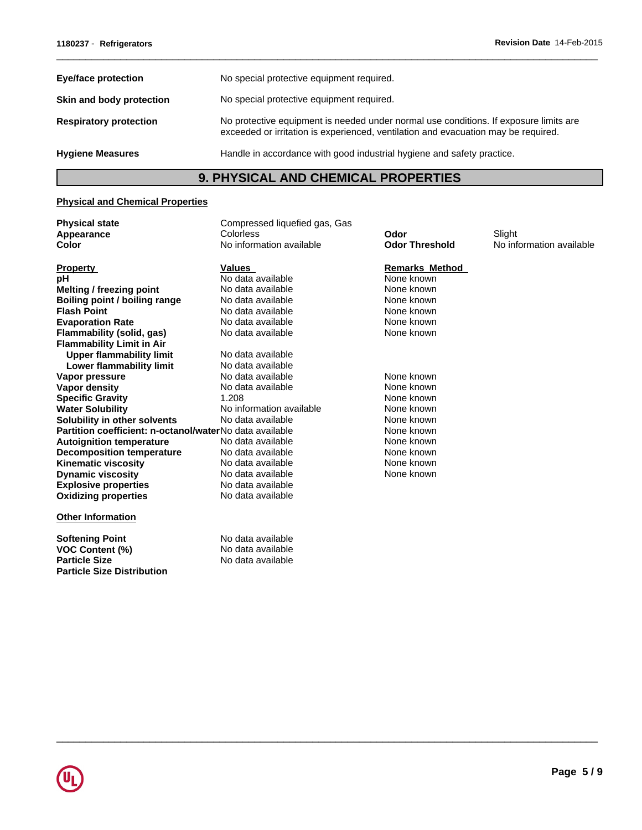| <b>Eye/face protection</b>    | No special protective equipment required.                                                                                                                                   |
|-------------------------------|-----------------------------------------------------------------------------------------------------------------------------------------------------------------------------|
| Skin and body protection      | No special protective equipment required.                                                                                                                                   |
| <b>Respiratory protection</b> | No protective equipment is needed under normal use conditions. If exposure limits are<br>exceeded or irritation is experienced, ventilation and evacuation may be required. |
| <b>Hygiene Measures</b>       | Handle in accordance with good industrial hygiene and safety practice.                                                                                                      |
|                               |                                                                                                                                                                             |

# **9. PHYSICAL AND CHEMICAL PROPERTIES**

# **Physical and Chemical Properties**

| <b>Physical state</b>                                         | Compressed liquefied gas, Gas |                       |                          |
|---------------------------------------------------------------|-------------------------------|-----------------------|--------------------------|
| Appearance                                                    | <b>Colorless</b>              | Odor                  | Slight                   |
| Color                                                         | No information available      | <b>Odor Threshold</b> | No information available |
| <b>Property</b>                                               | <b>Values</b>                 | <b>Remarks Method</b> |                          |
| рH                                                            | No data available             | None known            |                          |
| Melting / freezing point                                      | No data available             | None known            |                          |
| Boiling point / boiling range                                 | No data available             | None known            |                          |
| <b>Flash Point</b>                                            | No data available             | None known            |                          |
| <b>Evaporation Rate</b>                                       | No data available             | None known            |                          |
| Flammability (solid, gas)<br><b>Flammability Limit in Air</b> | No data available             | None known            |                          |
| <b>Upper flammability limit</b>                               | No data available             |                       |                          |
| Lower flammability limit                                      | No data available             |                       |                          |
| Vapor pressure                                                | No data available             | None known            |                          |
| Vapor density                                                 | No data available             | None known            |                          |
| <b>Specific Gravity</b>                                       | 1.208                         | None known            |                          |
| <b>Water Solubility</b>                                       | No information available      | None known            |                          |
| Solubility in other solvents                                  | No data available             | None known            |                          |
| Partition coefficient: n-octanol/waterNo data available       |                               | None known            |                          |
| <b>Autoignition temperature</b>                               | No data available             | None known            |                          |
| <b>Decomposition temperature</b>                              | No data available             | None known            |                          |
| <b>Kinematic viscosity</b>                                    | No data available             | None known            |                          |
| <b>Dynamic viscosity</b>                                      | No data available             | None known            |                          |
| <b>Explosive properties</b>                                   | No data available             |                       |                          |
| <b>Oxidizing properties</b>                                   | No data available             |                       |                          |
| <b>Other Information</b>                                      |                               |                       |                          |
| <b>Softening Point</b>                                        | No data available             |                       |                          |
| <b>VOC Content (%)</b>                                        | No data available             |                       |                          |
| <b>Particle Size</b>                                          | No data available             |                       |                          |
| <b>Particle Size Distribution</b>                             |                               |                       |                          |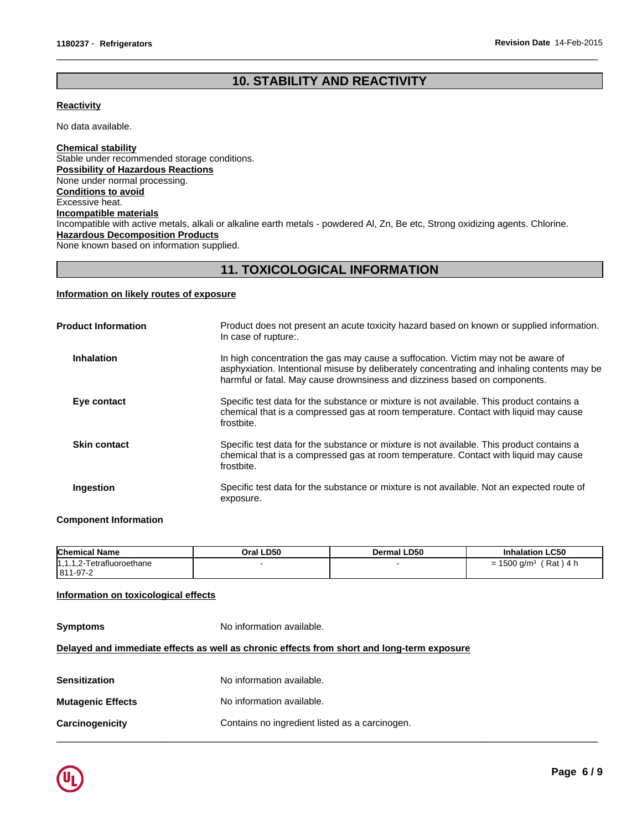# **10. STABILITY AND REACTIVITY**

 $\overline{\phantom{a}}$  ,  $\overline{\phantom{a}}$  ,  $\overline{\phantom{a}}$  ,  $\overline{\phantom{a}}$  ,  $\overline{\phantom{a}}$  ,  $\overline{\phantom{a}}$  ,  $\overline{\phantom{a}}$  ,  $\overline{\phantom{a}}$  ,  $\overline{\phantom{a}}$  ,  $\overline{\phantom{a}}$  ,  $\overline{\phantom{a}}$  ,  $\overline{\phantom{a}}$  ,  $\overline{\phantom{a}}$  ,  $\overline{\phantom{a}}$  ,  $\overline{\phantom{a}}$  ,  $\overline{\phantom{a}}$ 

#### **Reactivity**

No data available.

**Chemical stability** Stable under recommended storage conditions. **Possibility of Hazardous Reactions** None under normal processing. **Conditions to avoid** Excessive heat. **Incompatible materials** Incompatible with active metals, alkali or alkaline earth metals - powdered Al, Zn, Be etc, Strong oxidizing agents. Chlorine. **Hazardous Decomposition Products** None known based on information supplied.

# **11. TOXICOLOGICAL INFORMATION**

### **Information on likely routes of exposure**

| <b>Product Information</b> | Product does not present an acute toxicity hazard based on known or supplied information.<br>In case of rupture:.                                                                                                                                              |
|----------------------------|----------------------------------------------------------------------------------------------------------------------------------------------------------------------------------------------------------------------------------------------------------------|
| <b>Inhalation</b>          | In high concentration the gas may cause a suffocation. Victim may not be aware of<br>asphyxiation. Intentional misuse by deliberately concentrating and inhaling contents may be<br>harmful or fatal. May cause drownsiness and dizziness based on components. |
| Eye contact                | Specific test data for the substance or mixture is not available. This product contains a<br>chemical that is a compressed gas at room temperature. Contact with liquid may cause<br>frostbite.                                                                |
| <b>Skin contact</b>        | Specific test data for the substance or mixture is not available. This product contains a<br>chemical that is a compressed gas at room temperature. Contact with liquid may cause<br>frostbite.                                                                |
| Ingestion                  | Specific test data for the substance or mixture is not available. Not an expected route of<br>exposure.                                                                                                                                                        |

#### **Component Information**

| <b>Chemical</b><br><b>Name</b>            | Oral LD50 | <b>Dermal LD50</b> | <b>Inhalation LC50</b>                                          |
|-------------------------------------------|-----------|--------------------|-----------------------------------------------------------------|
| <b>Fetrafluoroethane</b><br><u>.</u><br>. |           |                    | Rat)<br>a/m <sup>3</sup> ر<br>∘4 h<br>$F^{\wedge}$<br>ιουσ<br>- |
| 811-97-2                                  |           |                    |                                                                 |

#### **Information on toxicological effects**

**Symptoms** No information available.

### **Delayed and immediate effects as well as chronic effects from short and long-term exposure**

| Carcinogenicity          | Contains no ingredient listed as a carcinogen. |
|--------------------------|------------------------------------------------|
| <b>Mutagenic Effects</b> | No information available.                      |
| <b>Sensitization</b>     | No information available.                      |

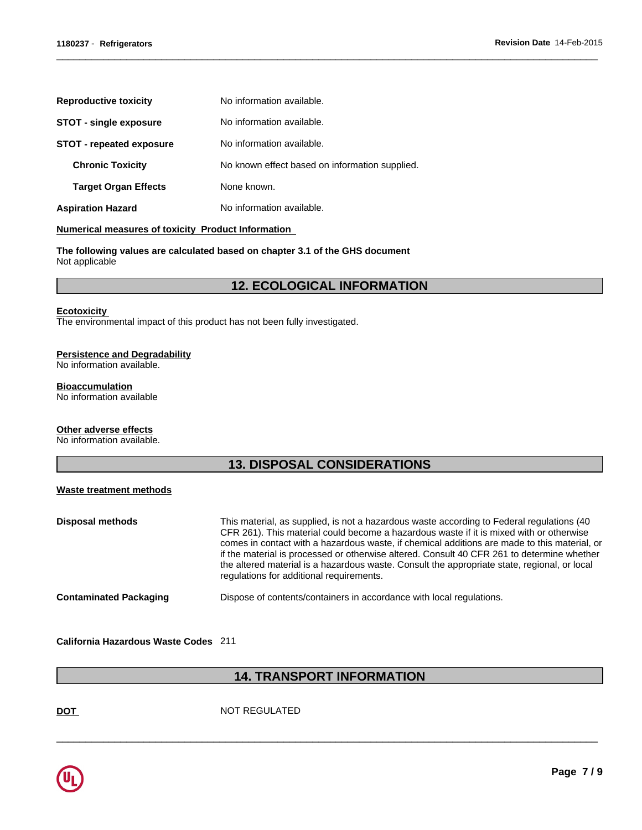| <b>Reproductive toxicity</b>  | No information available.                      |
|-------------------------------|------------------------------------------------|
| <b>STOT - single exposure</b> | No information available.                      |
| STOT - repeated exposure      | No information available.                      |
| <b>Chronic Toxicity</b>       | No known effect based on information supplied. |
| <b>Target Organ Effects</b>   | None known.                                    |
| <b>Aspiration Hazard</b>      | No information available.                      |

#### **Numerical measures of toxicity Product Information**

**The following values are calculated based on chapter 3.1 of the GHS document** Not applicable

# **12. ECOLOGICAL INFORMATION**

 $\overline{\phantom{a}}$  ,  $\overline{\phantom{a}}$  ,  $\overline{\phantom{a}}$  ,  $\overline{\phantom{a}}$  ,  $\overline{\phantom{a}}$  ,  $\overline{\phantom{a}}$  ,  $\overline{\phantom{a}}$  ,  $\overline{\phantom{a}}$  ,  $\overline{\phantom{a}}$  ,  $\overline{\phantom{a}}$  ,  $\overline{\phantom{a}}$  ,  $\overline{\phantom{a}}$  ,  $\overline{\phantom{a}}$  ,  $\overline{\phantom{a}}$  ,  $\overline{\phantom{a}}$  ,  $\overline{\phantom{a}}$ 

#### **Ecotoxicity**

The environmental impact of this product has not been fully investigated.

# **Persistence and Degradability**

No information available.

#### **Bioaccumulation**

No information available

### **Other adverse effects**

No information available.

# **13. DISPOSAL CONSIDERATIONS**

#### **Waste treatment methods**

| This material, as supplied, is not a hazardous waste according to Federal regulations (40<br>CFR 261). This material could become a hazardous waste if it is mixed with or otherwise<br>comes in contact with a hazardous waste, if chemical additions are made to this material, or<br>if the material is processed or otherwise altered. Consult 40 CFR 261 to determine whether<br>the altered material is a hazardous waste. Consult the appropriate state, regional, or local<br>regulations for additional requirements. |
|--------------------------------------------------------------------------------------------------------------------------------------------------------------------------------------------------------------------------------------------------------------------------------------------------------------------------------------------------------------------------------------------------------------------------------------------------------------------------------------------------------------------------------|
| Dispose of contents/containers in accordance with local regulations.                                                                                                                                                                                                                                                                                                                                                                                                                                                           |
|                                                                                                                                                                                                                                                                                                                                                                                                                                                                                                                                |

#### **California Hazardous Waste Codes** 211

# **14. TRANSPORT INFORMATION**

 $\overline{\phantom{a}}$  ,  $\overline{\phantom{a}}$  ,  $\overline{\phantom{a}}$  ,  $\overline{\phantom{a}}$  ,  $\overline{\phantom{a}}$  ,  $\overline{\phantom{a}}$  ,  $\overline{\phantom{a}}$  ,  $\overline{\phantom{a}}$  ,  $\overline{\phantom{a}}$  ,  $\overline{\phantom{a}}$  ,  $\overline{\phantom{a}}$  ,  $\overline{\phantom{a}}$  ,  $\overline{\phantom{a}}$  ,  $\overline{\phantom{a}}$  ,  $\overline{\phantom{a}}$  ,  $\overline{\phantom{a}}$ 

**DOT** NOT REGULATED

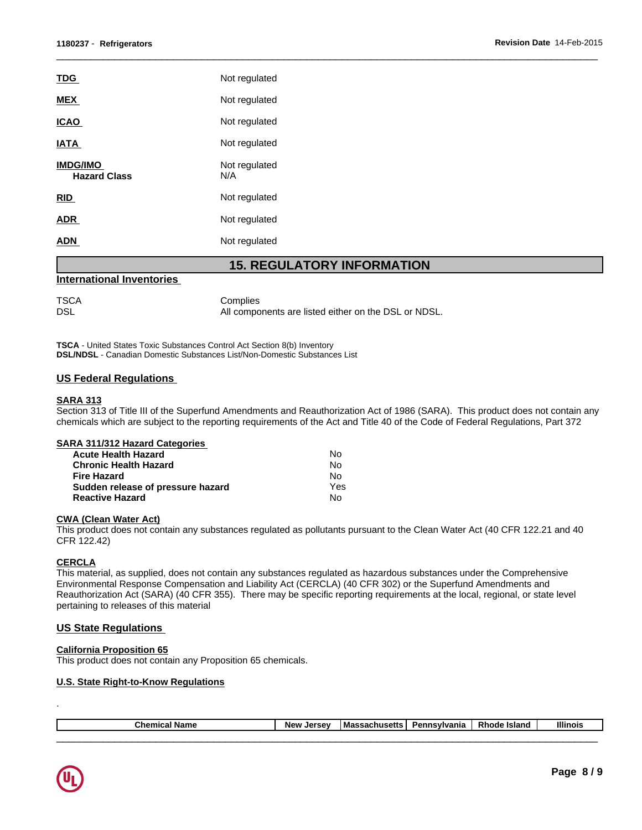| <b>TDG</b>                             | Not regulated        |
|----------------------------------------|----------------------|
| <b>MEX</b>                             | Not regulated        |
| <b>ICAO</b>                            | Not regulated        |
| <b>IATA</b>                            | Not regulated        |
| <b>IMDG/IMO</b><br><b>Hazard Class</b> | Not regulated<br>N/A |
| <u>RID</u>                             | Not regulated        |
| <b>ADR</b>                             | Not regulated        |
| ADN                                    | Not regulated        |
|                                        |                      |

# **15. REGULATORY INFORMATION**

 $\overline{\phantom{a}}$  ,  $\overline{\phantom{a}}$  ,  $\overline{\phantom{a}}$  ,  $\overline{\phantom{a}}$  ,  $\overline{\phantom{a}}$  ,  $\overline{\phantom{a}}$  ,  $\overline{\phantom{a}}$  ,  $\overline{\phantom{a}}$  ,  $\overline{\phantom{a}}$  ,  $\overline{\phantom{a}}$  ,  $\overline{\phantom{a}}$  ,  $\overline{\phantom{a}}$  ,  $\overline{\phantom{a}}$  ,  $\overline{\phantom{a}}$  ,  $\overline{\phantom{a}}$  ,  $\overline{\phantom{a}}$ 

#### **International Inventories**

| <b>TSCA</b> | Complies                                             |
|-------------|------------------------------------------------------|
| <b>DSL</b>  | All components are listed either on the DSL or NDSL. |

**TSCA** - United States Toxic Substances Control Act Section 8(b) Inventory **DSL/NDSL** - Canadian Domestic Substances List/Non-Domestic Substances List

### **US Federal Regulations**

#### **SARA 313**

Section 313 of Title III of the Superfund Amendments and Reauthorization Act of 1986 (SARA). This product does not contain any chemicals which are subject to the reporting requirements of the Act and Title 40 of the Code of Federal Regulations, Part 372

#### **SARA 311/312 Hazard Categories**

| <b>Acute Health Hazard</b>        | No. |
|-----------------------------------|-----|
| <b>Chronic Health Hazard</b>      | Nο  |
| <b>Fire Hazard</b>                | No  |
| Sudden release of pressure hazard | Yes |
| <b>Reactive Hazard</b>            | No  |

#### **CWA (Clean Water Act)**

This product does not contain any substances regulated as pollutants pursuant to the Clean Water Act (40 CFR 122.21 and 40 CFR 122.42)

# **CERCLA**

This material, as supplied, does not contain any substances regulated as hazardous substances under the Comprehensive Environmental Response Compensation and Liability Act (CERCLA) (40 CFR 302) or the Superfund Amendments and Reauthorization Act (SARA) (40 CFR 355). There may be specific reporting requirements at the local, regional, or state level pertaining to releases of this material

### **US State Regulations**

### **California Proposition 65**

This product does not contain any Proposition 65 chemicals.

#### **U.S. State Right-to-Know Regulations**

| Chemical<br>.<br>Name | New<br><b>Jerse</b> v | <b>`ssachusetts</b><br>ма | Pennsvlvania | Rhode<br><b>Island</b>         | <b>Illinois</b> |
|-----------------------|-----------------------|---------------------------|--------------|--------------------------------|-----------------|
|                       |                       |                           |              | ______________________________ |                 |



.